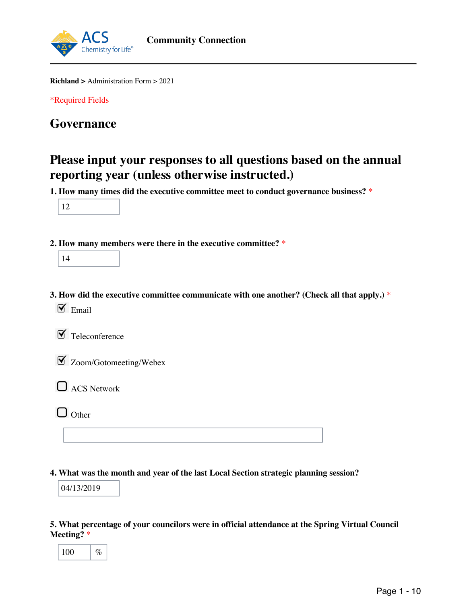

**Richland >** Administration Form > 2021

\*Required Fields

## **Governance**

## **Please input your responses to all questions based on the annual reporting year (unless otherwise instructed.)**

**1. How many times did the executive committee meet to conduct governance business?** \*



**2. How many members were there in the executive committee?** \*

|--|--|

**3. How did the executive committee communicate with one another? (Check all that apply.)** \*  $\mathbf{\nabla}$  Email

 $\blacktriangleright$  Teleconference

| $\blacktriangleright$ Zoom/Gotomeeting/Webex |  |
|----------------------------------------------|--|
|----------------------------------------------|--|

 $\Box$  ACS Network

 $\Box$  Other

**4. What was the month and year of the last Local Section strategic planning session?**

04/13/2019

## **5. What percentage of your councilors were in official attendance at the Spring Virtual Council Meeting?** \*

| 0<br>0<br>ı |  |  |
|-------------|--|--|
|-------------|--|--|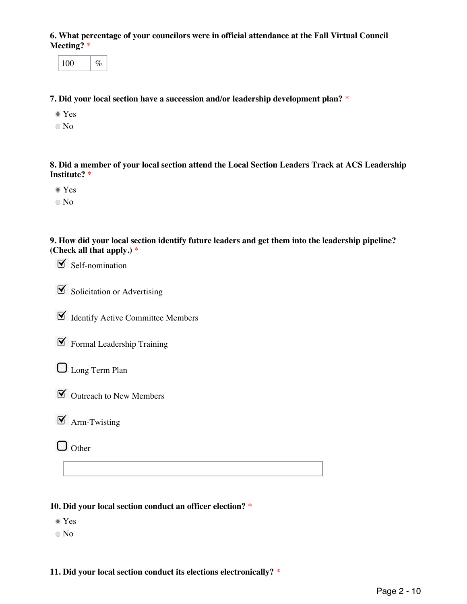**6. What percentage of your councilors were in official attendance at the Fall Virtual Council Meeting?** \*

100  $\frac{1}{6}$ 

**7. Did your local section have a succession and/or leadership development plan?** \*

- Yes
- No

**8. Did a member of your local section attend the Local Section Leaders Track at ACS Leadership Institute?** \*

- Yes
- No

**9. How did your local section identify future leaders and get them into the leadership pipeline? (Check all that apply.)** \*

 $\mathcal{\mathcal{S}}$  Self-nomination

 $\boxed{\blacksquare}$  Solicitation or Advertising

Identify Active Committee Members

 $\mathcal I$  Formal Leadership Training

**L** Long Term Plan

 $\triangleright$  Outreach to New Members

 $\boxed{\mathbf{M}}$  Arm-Twisting

 $\Box$  Other

#### **10. Did your local section conduct an officer election?** \*

- Yes
- No

**11. Did your local section conduct its elections electronically?** \*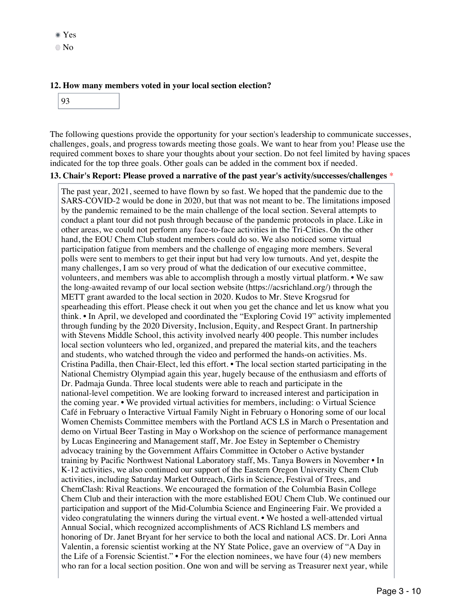#### **12. How many members voted in your local section election?**

93

The following questions provide the opportunity for your section's leadership to communicate successes, challenges, goals, and progress towards meeting those goals. We want to hear from you! Please use the required comment boxes to share your thoughts about your section. Do not feel limited by having spaces indicated for the top three goals. Other goals can be added in the comment box if needed.

#### **13. Chair's Report: Please proved a narrative of the past year's activity/successes/challenges** \*

The past year, 2021, seemed to have flown by so fast. We hoped that the pandemic due to the SARS-COVID-2 would be done in 2020, but that was not meant to be. The limitations imposed by the pandemic remained to be the main challenge of the local section. Several attempts to conduct a plant tour did not push through because of the pandemic protocols in place. Like in other areas, we could not perform any face-to-face activities in the Tri-Cities. On the other hand, the EOU Chem Club student members could do so. We also noticed some virtual participation fatigue from members and the challenge of engaging more members. Several polls were sent to members to get their input but had very low turnouts. And yet, despite the many challenges, I am so very proud of what the dedication of our executive committee, volunteers, and members was able to accomplish through a mostly virtual platform. • We saw the long-awaited revamp of our local section website (https://acsrichland.org/) through the METT grant awarded to the local section in 2020. Kudos to Mr. Steve Krogsrud for spearheading this effort. Please check it out when you get the chance and let us know what you think. • In April, we developed and coordinated the "Exploring Covid 19" activity implemented through funding by the 2020 Diversity, Inclusion, Equity, and Respect Grant. In partnership with Stevens Middle School, this activity involved nearly 400 people. This number includes local section volunteers who led, organized, and prepared the material kits, and the teachers and students, who watched through the video and performed the hands-on activities. Ms. Cristina Padilla, then Chair-Elect, led this effort. • The local section started participating in the National Chemistry Olympiad again this year, hugely because of the enthusiasm and efforts of Dr. Padmaja Gunda. Three local students were able to reach and participate in the national-level competition. We are looking forward to increased interest and participation in the coming year. • We provided virtual activities for members, including: o Virtual Science Café in February o Interactive Virtual Family Night in February o Honoring some of our local Women Chemists Committee members with the Portland ACS LS in March o Presentation and demo on Virtual Beer Tasting in May o Workshop on the science of performance management by Lucas Engineering and Management staff, Mr. Joe Estey in September o Chemistry advocacy training by the Government Affairs Committee in October o Active bystander training by Pacific Northwest National Laboratory staff, Ms. Tanya Bowers in November • In K-12 activities, we also continued our support of the Eastern Oregon University Chem Club activities, including Saturday Market Outreach, Girls in Science, Festival of Trees, and ChemClash: Rival Reactions. We encouraged the formation of the Columbia Basin College Chem Club and their interaction with the more established EOU Chem Club. We continued our participation and support of the Mid-Columbia Science and Engineering Fair. We provided a video congratulating the winners during the virtual event. • We hosted a well-attended virtual Annual Social, which recognized accomplishments of ACS Richland LS members and honoring of Dr. Janet Bryant for her service to both the local and national ACS. Dr. Lori Anna Valentin, a forensic scientist working at the NY State Police, gave an overview of "A Day in the Life of a Forensic Scientist." • For the election nominees, we have four (4) new members who ran for a local section position. One won and will be serving as Treasurer next year, while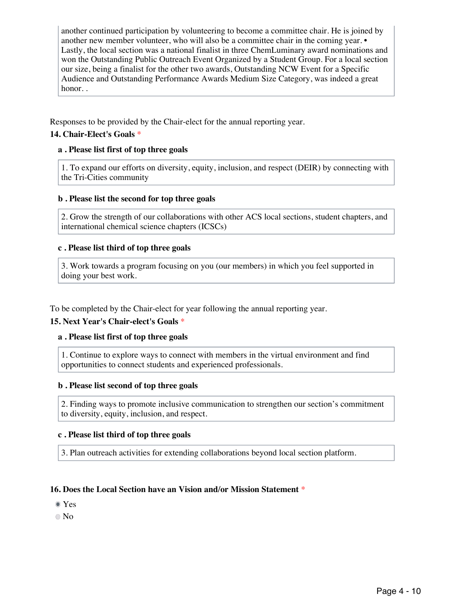another continued participation by volunteering to become a committee chair. He is joined by another new member volunteer, who will also be a committee chair in the coming year.  $\bullet$ Lastly, the local section was a national finalist in three ChemLuminary award nominations and won the Outstanding Public Outreach Event Organized by a Student Group. For a local section our size, being a finalist for the other two awards, Outstanding NCW Event for a Specific Audience and Outstanding Performance Awards Medium Size Category, was indeed a great honor. .

Responses to be provided by the Chair-elect for the annual reporting year.

#### **14. Chair-Elect's Goals** \*

#### **a . Please list first of top three goals**

1. To expand our efforts on diversity, equity, inclusion, and respect (DEIR) by connecting with the Tri-Cities community

#### **b . Please list the second for top three goals**

2. Grow the strength of our collaborations with other ACS local sections, student chapters, and international chemical science chapters (ICSCs)

#### **c . Please list third of top three goals**

3. Work towards a program focusing on you (our members) in which you feel supported in doing your best work.

To be completed by the Chair-elect for year following the annual reporting year.

#### **15. Next Year's Chair-elect's Goals** \*

#### **a . Please list first of top three goals**

1. Continue to explore ways to connect with members in the virtual environment and find opportunities to connect students and experienced professionals.

#### **b . Please list second of top three goals**

2. Finding ways to promote inclusive communication to strengthen our section's commitment to diversity, equity, inclusion, and respect.

#### **c . Please list third of top three goals**

3. Plan outreach activities for extending collaborations beyond local section platform.

#### **16. Does the Local Section have an Vision and/or Mission Statement** \*

Yes

No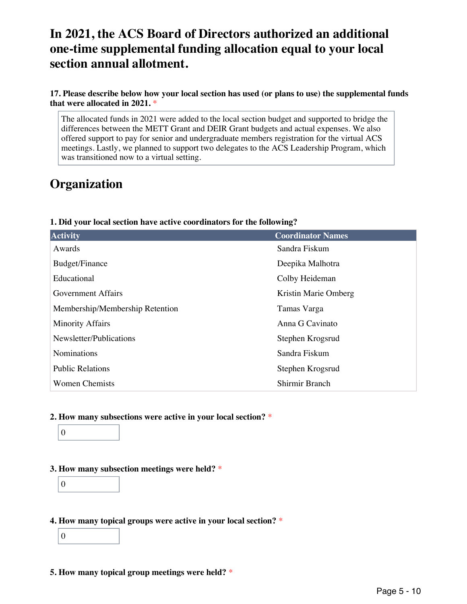## **In 2021, the ACS Board of Directors authorized an additional one-time supplemental funding allocation equal to your local section annual allotment.**

**17. Please describe below how your local section has used (or plans to use) the supplemental funds that were allocated in 2021.** \*

The allocated funds in 2021 were added to the local section budget and supported to bridge the differences between the METT Grant and DEIR Grant budgets and actual expenses. We also offered support to pay for senior and undergraduate members registration for the virtual ACS meetings. Lastly, we planned to support two delegates to the ACS Leadership Program, which was transitioned now to a virtual setting.

# **Organization**

|  | 1. Did your local section have active coordinators for the following? |  |
|--|-----------------------------------------------------------------------|--|
|  |                                                                       |  |

| <b>Activity</b>                 | <b>Coordinator Names</b> |
|---------------------------------|--------------------------|
| Awards                          | Sandra Fiskum            |
| Budget/Finance                  | Deepika Malhotra         |
| Educational                     | Colby Heideman           |
| <b>Government Affairs</b>       | Kristin Marie Omberg     |
| Membership/Membership Retention | Tamas Varga              |
| <b>Minority Affairs</b>         | Anna G Cavinato          |
| Newsletter/Publications         | Stephen Krogsrud         |
| Nominations                     | Sandra Fiskum            |
| <b>Public Relations</b>         | Stephen Krogsrud         |
| <b>Women Chemists</b>           | Shirmir Branch           |

## **2. How many subsections were active in your local section?** \*



#### **3. How many subsection meetings were held?** \*

0

### **4. How many topical groups were active in your local section?** \*

0

#### **5. How many topical group meetings were held?** \*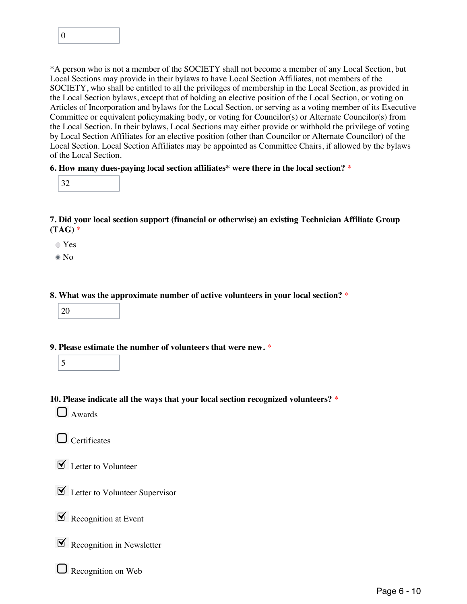

\*A person who is not a member of the SOCIETY shall not become a member of any Local Section, but Local Sections may provide in their bylaws to have Local Section Affiliates, not members of the SOCIETY, who shall be entitled to all the privileges of membership in the Local Section, as provided in the Local Section bylaws, except that of holding an elective position of the Local Section, or voting on Articles of Incorporation and bylaws for the Local Section, or serving as a voting member of its Executive Committee or equivalent policymaking body, or voting for Councilor(s) or Alternate Councilor(s) from the Local Section. In their bylaws, Local Sections may either provide or withhold the privilege of voting by Local Section Affiliates for an elective position (other than Councilor or Alternate Councilor) of the Local Section. Local Section Affiliates may be appointed as Committee Chairs, if allowed by the bylaws of the Local Section.

#### **6. How many dues-paying local section affiliates\* were there in the local section?** \*

|--|--|

**7. Did your local section support (financial or otherwise) an existing Technician Affiliate Group (TAG)** \*

Yes

 $\bullet$  No

**8. What was the approximate number of active volunteers in your local section?** \*

**9. Please estimate the number of volunteers that were new.** \*

|--|

**10. Please indicate all the ways that your local section recognized volunteers?** \*

 $\Box$  Awards

**O** Certificates

**M** Letter to Volunteer

 $\triangleright$  Letter to Volunteer Supervisor

 $\mathcal{R}$  Recognition at Event

 $\mathbb X$  Recognition in Newsletter

 $\Box$  Recognition on Web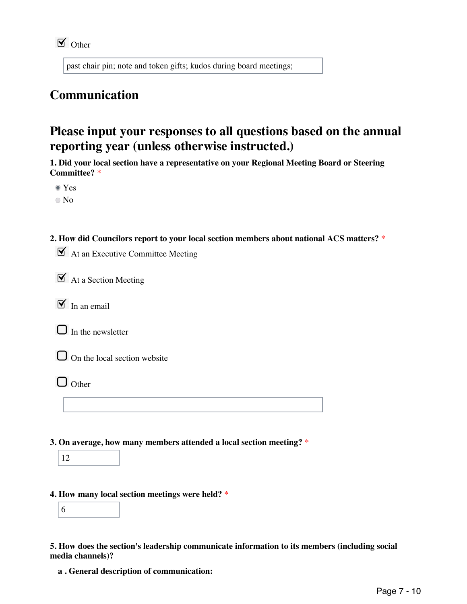past chair pin; note and token gifts; kudos during board meetings;

# **Communication**

## **Please input your responses to all questions based on the annual reporting year (unless otherwise instructed.)**

**1. Did your local section have a representative on your Regional Meeting Board or Steering Committee?** \*

Yes

No

**2. How did Councilors report to your local section members about national ACS matters?** \*

 $\mathbf{\nabla}$  At an Executive Committee Meeting

 $\mathbf{\nabla}$  At a Section Meeting

 $\triangleright$  In an email

 $\Box$  In the newsletter



 $\Box$  On the local section website

- $\Box$  Other
- **3. On average, how many members attended a local section meeting?** \*



## **4. How many local section meetings were held?** \*



**5. How does the section's leadership communicate information to its members (including social media channels)?**

**a . General description of communication:**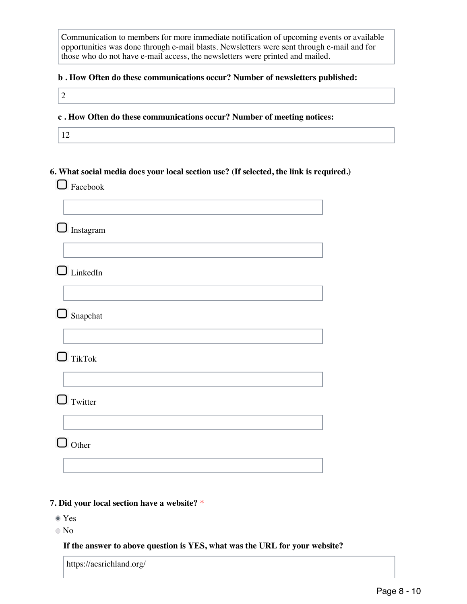Communication to members for more immediate notification of upcoming events or available opportunities was done through e-mail blasts. Newsletters were sent through e-mail and for those who do not have e-mail access, the newsletters were printed and mailed.

#### **b . How Often do these communications occur? Number of newsletters published:**

#### **c . How Often do these communications occur? Number of meeting notices:**

12

2

## **6. What social media does your local section use? (If selected, the link is required.)**

**O** Facebook

|        | $\Box$ Instagram |
|--------|------------------|
|        |                  |
|        | $\Box$ LinkedIn  |
|        |                  |
|        | $\Box$ Snapchat  |
|        | $\Box$ TikTok    |
|        |                  |
|        | $\Box$ Twitter   |
|        |                  |
| $\Box$ | $\int$ Other     |
|        |                  |

## **7. Did your local section have a website?** \*

- Yes
- No

#### **If the answer to above question is YES, what was the URL for your website?**

https://acsrichland.org/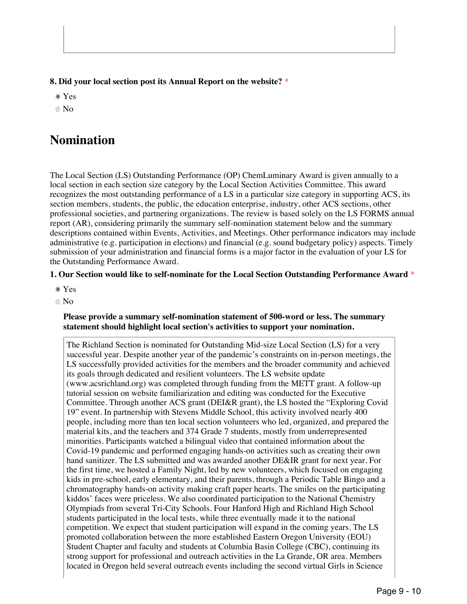**8. Did your local section post its Annual Report on the website?** \*

Yes

No

## **Nomination**

The Local Section (LS) Outstanding Performance (OP) ChemLuminary Award is given annually to a local section in each section size category by the Local Section Activities Committee. This award recognizes the most outstanding performance of a LS in a particular size category in supporting ACS, its section members, students, the public, the education enterprise, industry, other ACS sections, other professional societies, and partnering organizations. The review is based solely on the LS FORMS annual report (AR), considering primarily the summary self-nomination statement below and the summary descriptions contained within Events, Activities, and Meetings. Other performance indicators may include administrative (e.g. participation in elections) and financial (e.g. sound budgetary policy) aspects. Timely submission of your administration and financial forms is a major factor in the evaluation of your LS for the Outstanding Performance Award.

## **1. Our Section would like to self-nominate for the Local Section Outstanding Performance Award** \*

- Yes
- No

#### **Please provide a summary self-nomination statement of 500-word or less. The summary statement should highlight local section's activities to support your nomination.**

The Richland Section is nominated for Outstanding Mid-size Local Section (LS) for a very successful year. Despite another year of the pandemic's constraints on in-person meetings, the LS successfully provided activities for the members and the broader community and achieved its goals through dedicated and resilient volunteers. The LS website update (www.acsrichland.org) was completed through funding from the METT grant. A follow-up tutorial session on website familiarization and editing was conducted for the Executive Committee. Through another ACS grant (DEI&R grant), the LS hosted the "Exploring Covid 19" event. In partnership with Stevens Middle School, this activity involved nearly 400 people, including more than ten local section volunteers who led, organized, and prepared the material kits, and the teachers and 374 Grade 7 students, mostly from underrepresented minorities. Participants watched a bilingual video that contained information about the Covid-19 pandemic and performed engaging hands-on activities such as creating their own hand sanitizer. The LS submitted and was awarded another DE&IR grant for next year. For the first time, we hosted a Family Night, led by new volunteers, which focused on engaging kids in pre-school, early elementary, and their parents, through a Periodic Table Bingo and a chromatography hands-on activity making craft paper hearts. The smiles on the participating kiddos' faces were priceless. We also coordinated participation to the National Chemistry Olympiads from several Tri-City Schools. Four Hanford High and Richland High School students participated in the local tests, while three eventually made it to the national competition. We expect that student participation will expand in the coming years. The LS promoted collaboration between the more established Eastern Oregon University (EOU) Student Chapter and faculty and students at Columbia Basin College (CBC), continuing its strong support for professional and outreach activities in the La Grande, OR area. Members located in Oregon held several outreach events including the second virtual Girls in Science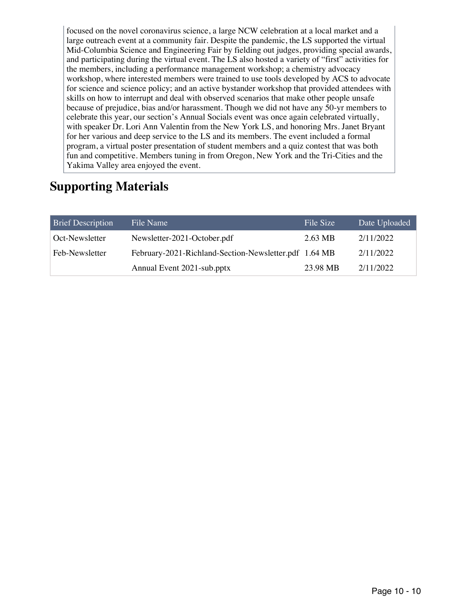focused on the novel coronavirus science, a large NCW celebration at a local market and a large outreach event at a community fair. Despite the pandemic, the LS supported the virtual Mid-Columbia Science and Engineering Fair by fielding out judges, providing special awards, and participating during the virtual event. The LS also hosted a variety of "first" activities for the members, including a performance management workshop; a chemistry advocacy workshop, where interested members were trained to use tools developed by ACS to advocate for science and science policy; and an active bystander workshop that provided attendees with skills on how to interrupt and deal with observed scenarios that make other people unsafe because of prejudice, bias and/or harassment. Though we did not have any 50-yr members to celebrate this year, our section's Annual Socials event was once again celebrated virtually, with speaker Dr. Lori Ann Valentin from the New York LS, and honoring Mrs. Janet Bryant for her various and deep service to the LS and its members. The event included a formal program, a virtual poster presentation of student members and a quiz contest that was both fun and competitive. Members tuning in from Oregon, New York and the Tri-Cities and the Yakima Valley area enjoyed the event.

# **Supporting Materials**

| <b>Brief Description</b> | File Name                                             | File Size | Date Uploaded |
|--------------------------|-------------------------------------------------------|-----------|---------------|
| Oct-Newsletter           | Newsletter-2021-October.pdf                           | 2.63 MB   | 2/11/2022     |
| Feb-Newsletter           | February-2021-Richland-Section-Newsletter.pdf 1.64 MB |           | 2/11/2022     |
|                          | Annual Event 2021-sub.pptx                            | 23.98 MB  | 2/11/2022     |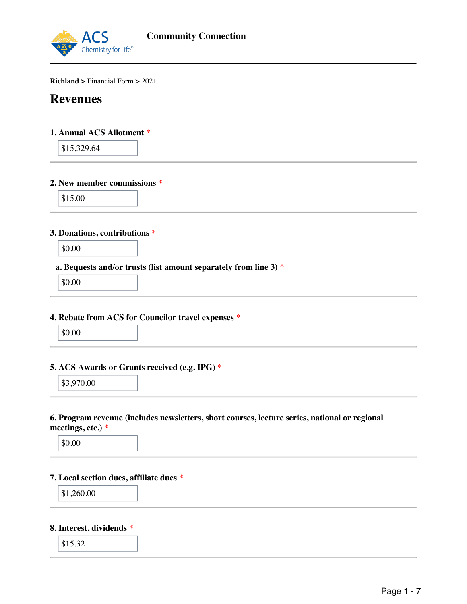

**Richland >** Financial Form > 2021

## **Revenues**

## **1. Annual ACS Allotment** \*

\$15,329.64

#### **2. New member commissions** \*

\$15.00

#### **3. Donations, contributions** \*

\$0.00

## **a. Bequests and/or trusts (list amount separately from line 3)** \*

\$0.00

#### **4. Rebate from ACS for Councilor travel expenses** \*

| ı |
|---|
|   |

## **5. ACS Awards or Grants received (e.g. IPG)** \*

\$3,970.00

#### **6. Program revenue (includes newsletters, short courses, lecture series, national or regional meetings, etc.)** \*

\$0.00

#### **7. Local section dues, affiliate dues** \*

$$
\$1,\!260.00
$$

### **8. Interest, dividends** \*

\$15.32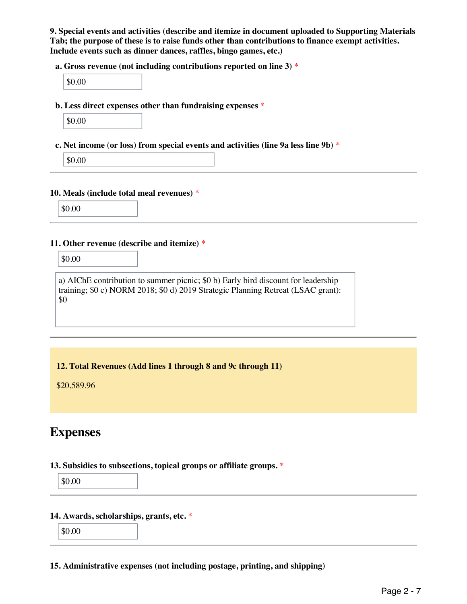**9. Special events and activities (describe and itemize in document uploaded to Supporting Materials Tab; the purpose of these is to raise funds other than contributions to finance exempt activities. Include events such as dinner dances, raffles, bingo games, etc.)**

**a. Gross revenue (not including contributions reported on line 3)** \*

**b. Less direct expenses other than fundraising expenses** \*

**c. Net income (or loss) from special events and activities (line 9a less line 9b)** \*

\$0.00

#### **10. Meals (include total meal revenues)** \*

\$0.00

#### **11. Other revenue (describe and itemize)** \*

\$0.00

a) AIChE contribution to summer picnic; \$0 b) Early bird discount for leadership training; \$0 c) NORM 2018; \$0 d) 2019 Strategic Planning Retreat (LSAC grant): \$0

## **12. Total Revenues (Add lines 1 through 8 and 9c through 11)**

\$20,589.96

## **Expenses**

#### **13. Subsidies to subsections, topical groups or affiliate groups.** \*

\$0.00

#### **14. Awards, scholarships, grants, etc.** \*

\$0.00

#### **15. Administrative expenses (not including postage, printing, and shipping)**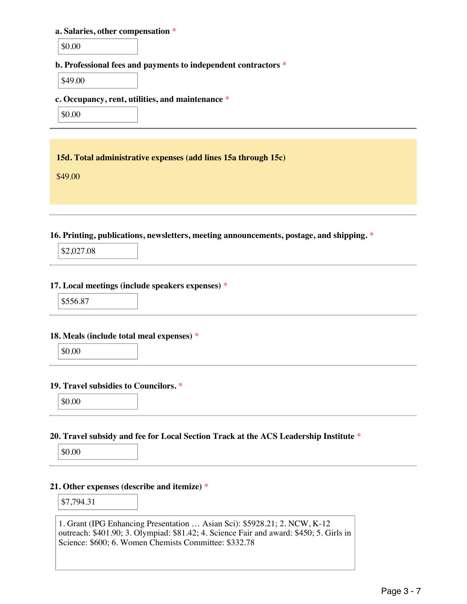#### **a. Salaries, other compensation** \*

\$0.00

## **b. Professional fees and payments to independent contractors** \*

\$49.00

#### **c. Occupancy, rent, utilities, and maintenance** \*

\$0.00

#### **15d. Total administrative expenses (add lines 15a through 15c)**

\$49.00

## **16. Printing, publications, newsletters, meeting announcements, postage, and shipping.** \*

\$2,027.08

#### **17. Local meetings (include speakers expenses)** \*

\$556.87

#### **18. Meals (include total meal expenses)** \*

\$0.00

#### **19. Travel subsidies to Councilors.** \*

\$0.00

## **20. Travel subsidy and fee for Local Section Track at the ACS Leadership Institute** \*

\$0.00

#### **21. Other expenses (describe and itemize)** \*

\$7,794.31

1. Grant (IPG Enhancing Presentation … Asian Sci): \$5928.21; 2. NCW, K-12 outreach: \$401.90; 3. Olympiad: \$81.42; 4. Science Fair and award: \$450; 5. Girls in Science: \$600; 6. Women Chemists Committee: \$332.78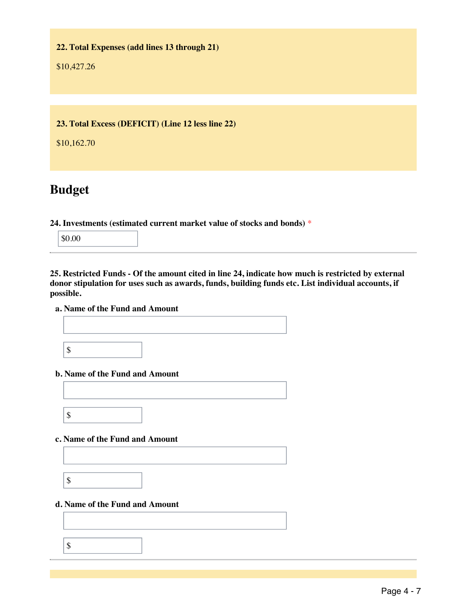**22. Total Expenses (add lines 13 through 21)**

\$10,427.26

**23. Total Excess (DEFICIT) (Line 12 less line 22)**

\$10,162.70

# **Budget**

**24. Investments (estimated current market value of stocks and bonds)** \*

\$0.00

**25. Restricted Funds - Of the amount cited in line 24, indicate how much is restricted by external donor stipulation for uses such as awards, funds, building funds etc. List individual accounts, if possible.**

## **a. Name of the Fund and Amount**

\$

## **b. Name of the Fund and Amount**

\$

**c. Name of the Fund and Amount**

\$

## **d. Name of the Fund and Amount**

\$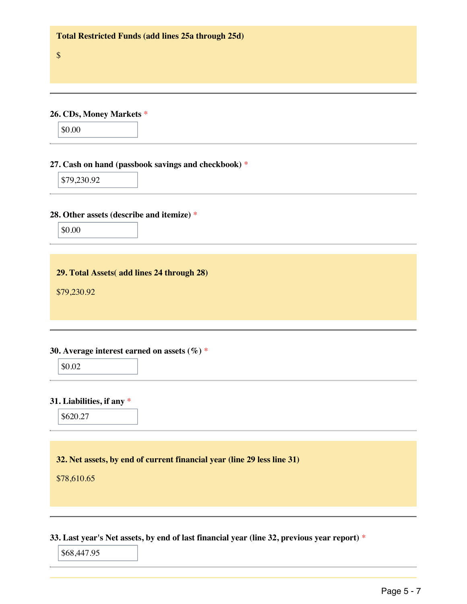**26. CDs, Money Markets** \*

\$0.00

\$

#### **27. Cash on hand (passbook savings and checkbook)** \*

\$79,230.92

## **28. Other assets (describe and itemize)** \*

\$0.00

**29. Total Assets( add lines 24 through 28)**

\$79,230.92

#### **30. Average interest earned on assets (%)** \*

\$0.02

## **31. Liabilities, if any** \*

\$620.27

## **32. Net assets, by end of current financial year (line 29 less line 31)**

\$78,610.65

**33. Last year's Net assets, by end of last financial year (line 32, previous year report)** \*

\$68,447.95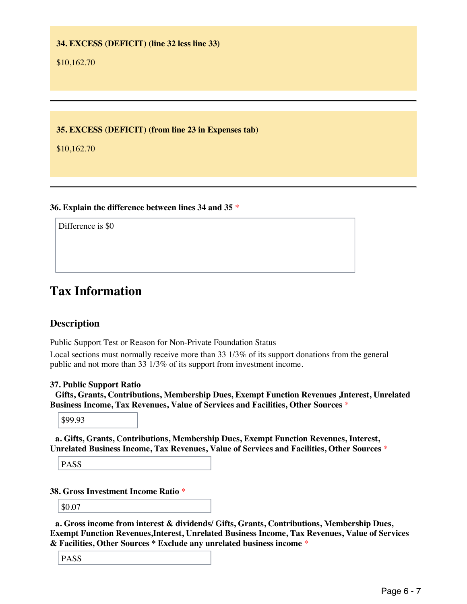## **34. EXCESS (DEFICIT) (line 32 less line 33)**

\$10,162.70

**35. EXCESS (DEFICIT) (from line 23 in Expenses tab)**

\$10,162.70

## **36. Explain the difference between lines 34 and 35** \*

Difference is \$0

## **Tax Information**

## **Description**

Public Support Test or Reason for Non-Private Foundation Status

Local sections must normally receive more than 33 1/3% of its support donations from the general public and not more than 33 1/3% of its support from investment income.

## **37. Public Support Ratio**

**Gifts, Grants, Contributions, Membership Dues, Exempt Function Revenues ,Interest, Unrelated Business Income, Tax Revenues, Value of Services and Facilities, Other Sources** \*

\$99.93

**a. Gifts, Grants, Contributions, Membership Dues, Exempt Function Revenues, Interest, Unrelated Business Income, Tax Revenues, Value of Services and Facilities, Other Sources** \*

PASS

## **38. Gross Investment Income Ratio** \*

\$0.07

**a. Gross income from interest & dividends/ Gifts, Grants, Contributions, Membership Dues, Exempt Function Revenues,Interest, Unrelated Business Income, Tax Revenues, Value of Services & Facilities, Other Sources \* Exclude any unrelated business income** \*

PASS